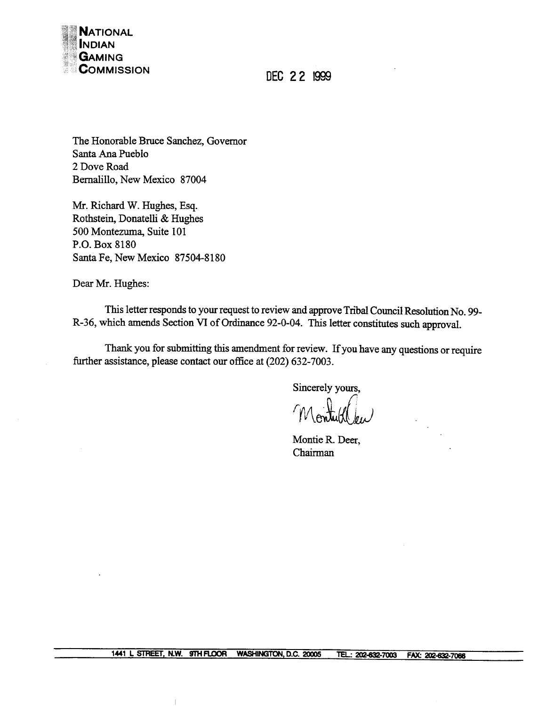

DEC 22 1999

The Honorable Bruce Sanchez, Governor Santa Ana Pueblo 2 Dove Road Bernalillo, New Mexico 87004

Mr. Richard W. Hughes, Esq. Rothstein, Donatelli & Hughes 500 Montezuma, Suite 101 P.O. Box 8180 Santa Fe, New Mexico 87504-8180

Dear Mr. Hughes:

This letter responds to your request to review and approve Tribal Council Resolution No. 99-R-36, which amends Section VI of Ordinance 92-0-04. This letter constitutes such approval.

Thank you for submitting this amendment for review. If you have any questions or require further assistance, please contact our office at (202) 632-7003.

Sincerely yours,

Montie R. Deer, Chairman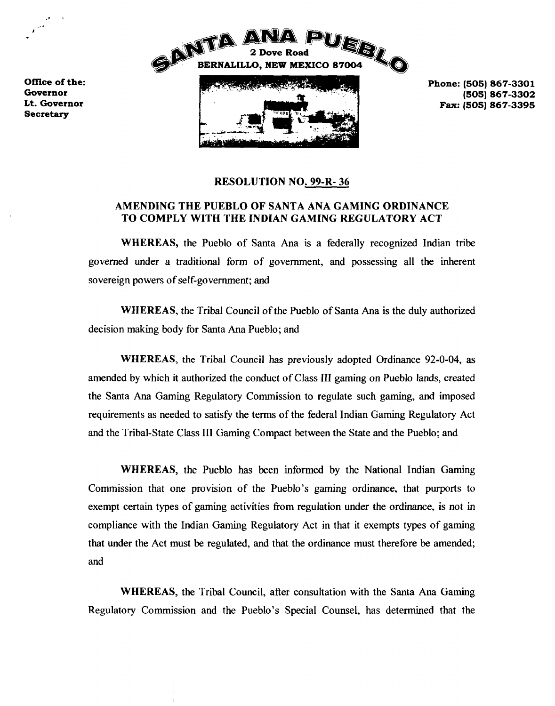



**Phone: (505) 867-3301**

## **RESOLUTION NO. 99-R- 36**

## **AMENDING THE PUEBLO OF SANTA ANA GAMING ORDINANCE TO COMPLY WITH THE INDIAN GAMING REGULATORY ACT**

**WHEREAS, the Pueblo of Santa Ma is <sup>a</sup> federally recognized Indian tribe governed under a traditional form of government, and possessing all the inherent sovereign powers of self-government; and**

**WHEREAS, the Tribal Council of the Pueblo of Santa Ma is the duly authorized decision making body for Santa Ma Pueblo; and**

**WHEREAS, the Tribal Council has previously adopted Ordinance 92-0-04, as amended by which it authorized the conduct of Class Ill gaming on Pueblo lands, created the Santa Ma Gaming Regulatory Commission to regulate such gaming, and imposed requirements as needed to satisfy the terms of the federal Indian Gaming Regulatory Act and the Tribal-State Class III Gaming Compact between the State and the Pueblo; and**

**WHEREAS, the Pueblo has been informed by the National Indian Gaming Commission that one provision of the Pueblos gaming ordinance, that purports to exempt certain types of gaming activities from regulation under the ordinance, is not in compliance with the Indian Gaming Regulatory Act in that it exempts types of gaming that under the Act must be regulated, and that the ordinance must therefore be amended; and**

**WHEREAS, the Tribal Council, after consultation with the Santa Ana Gaming Regulatory** Commission and the Pueblo's Special Counsel, has determined that the

**Office of the: ~. Secretary \_\_\_\_**